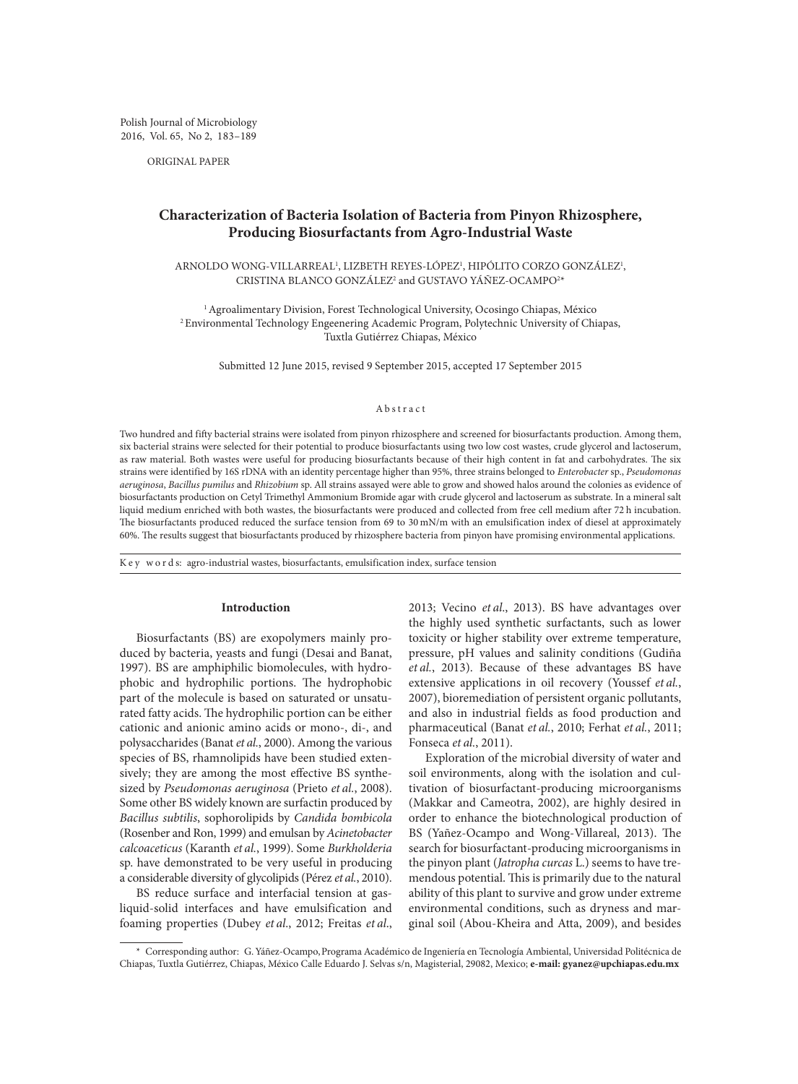Polish Journal of Microbiology 2016, Vol. 65, No 2, 183–189

ORIGINAL PAPER

# **Characterization of Bacteria Isolation of Bacteria from Pinyon Rhizosphere, Producing Biosurfactants from Agro-Industrial Waste**

ARNOLDO WONG-VILLARREAL', LIZBETH REYES-LOPEZ', HIPOLITO CORZO GONZALEZ', CRISTINA BLANCO GONZÁLEZ<sup>2</sup> and GUSTAVO YÁÑEZ-OCAMPO<sup>2</sup>\*

<sup>1</sup> Agroalimentary Division, Forest Technological University, Ocosingo Chiapas, México 2Environmental Technology Engeenering Academic Program, Polytechnic University of Chiapas, Tuxtla Gutiérrez Chiapas, México

Submitted 12 June 2015, revised 9 September 2015, accepted 17 September 2015

# Abstract

Two hundred and fifty bacterial strains were isolated from pinyon rhizosphere and screened for biosurfactants production. Among them, six bacterial strains were selected for their potential to produce biosurfactants using two low cost wastes, crude glycerol and lactoserum, as raw material. Both wastes were useful for producing biosurfactants because of their high content in fat and carbohydrates. The six strains were identified by 16S rDNA with an identity percentage higher than 95%, three strains belonged to *Enterobacter* sp., *Pseudomonas aeruginosa*, *Bacillus pumilus* and *Rhizobium* sp. All strains assayed were able to grow and showed halos around the colonies as evidence of biosurfactants production on Cetyl Trimethyl Ammonium Bromide agar with crude glycerol and lactoserum as substrate. In a mineral salt liquid medium enriched with both wastes, the biosurfactants were produced and collected from free cell medium after 72 h incubation. The biosurfactants produced reduced the surface tension from 69 to 30 mN/m with an emulsification index of diesel at approximately 60%. The results suggest that biosurfactants produced by rhizosphere bacteria from pinyon have promising environmental applications.

K e y w o r d s: agro-industrial wastes, biosurfactants, emulsification index, surface tension

## **Introduction**

Biosurfactants (BS) are exopolymers mainly produced by bacteria, yeasts and fungi (Desai and Banat, 1997). BS are amphiphilic biomolecules, with hydrophobic and hydrophilic portions. The hydrophobic part of the molecule is based on saturated or unsaturated fatty acids. The hydrophilic portion can be either cationic and anionic amino acids or mono-, di-, and polysaccharides (Banat *et al.*, 2000). Among the various species of BS, rhamnolipids have been studied extensively; they are among the most effective BS synthesized by *Pseudomonas aeruginosa* (Prieto *et al.*, 2008). Some other BS widely known are surfactin produced by *Bacillus subtilis*, sophorolipids by *Candida bombicola*  (Rosenber and Ron, 1999) and emulsan by *Acinetobacter calcoaceticus* (Karanth *et al.*, 1999). Some *Burkholderia*  sp. have demonstrated to be very useful in producing a considerable diversity of glycolipids (Pérez *et al.*, 2010).

BS reduce surface and interfacial tension at gasliquid-solid interfaces and have emulsification and foaming properties (Dubey *et al*., 2012; Freitas *et al*., 2013; Vecino *et al*., 2013). BS have advantages over the highly used synthetic surfactants, such as lower toxicity or higher stability over extreme temperature, pressure, pH values and salinity conditions (Gudiña *et al.*, 2013). Because of these advantages BS have extensive applications in oil recovery (Youssef *et al.*, 2007), bioremediation of persistent organic pollutants, and also in industrial fields as food production and pharmaceutical (Banat *et al.*, 2010; Ferhat *et al.*, 2011; Fonseca *et al.*, 2011).

Exploration of the microbial diversity of water and soil environments, along with the isolation and cultivation of biosurfactant-producing microorganisms (Makkar and Cameotra, 2002), are highly desired in order to enhance the biotechnological production of BS (Yañez-Ocampo and Wong-Villareal, 2013). The search for biosurfactant-producing microorganisms in the pinyon plant (*Jatropha curcas* L.) seems to have tremendous potential. This is primarily due to the natural ability of this plant to survive and grow under extreme environmental conditions, such as dryness and marginal soil (Abou-Kheira and Atta, 2009), and besides

<sup>\*</sup> Corresponding author: G.Yáñez-Ocampo,Programa Académico de Ingeniería en Tecnología Ambiental, Universidad Politécnica de Chiapas, Tuxtla Gutiérrez, Chiapas, México Calle Eduardo J. Selvas s/n, Magisterial, 29082, Mexico; **e-mail: gyanez@upchiapas.edu.mx**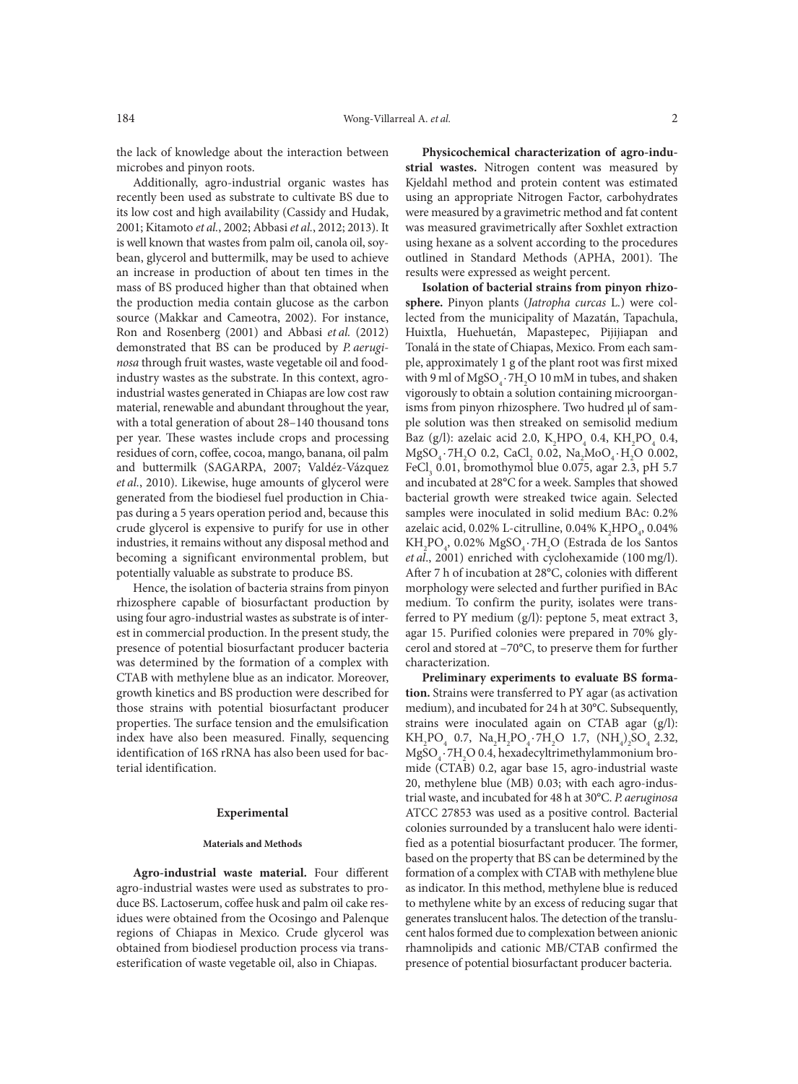the lack of knowledge about the interaction between microbes and pinyon roots.

Additionally, agro-industrial organic wastes has recently been used as substrate to cultivate BS due to its low cost and high availability (Cassidy and Hudak, 2001; Kitamoto *et al.*, 2002; Abbasi *et al.*, 2012; 2013). It is well known that wastes from palm oil, canola oil, soybean, glycerol and buttermilk, may be used to achieve an increase in production of about ten times in the mass of BS produced higher than that obtained when the production media contain glucose as the carbon source (Makkar and Cameotra, 2002). For instance, Ron and Rosenberg (2001) and Abbasi *et al.* (2012) demonstrated that BS can be produced by *P. aeruginosa* through fruit wastes, waste vegetable oil and foodindustry wastes as the substrate. In this context, agroindustrial wastes generated in Chiapas are low cost raw material, renewable and abundant throughout the year, with a total generation of about 28–140 thousand tons per year. These wastes include crops and processing residues of corn, coffee, cocoa, mango, banana, oil palm and buttermilk (SAGARPA, 2007; Valdéz-Vázquez *et al.*, 2010). Likewise, huge amounts of glycerol were generated from the biodiesel fuel production in Chiapas during a 5 years operation period and, because this crude glycerol is expensive to purify for use in other industries, it remains without any disposal method and becoming a significant environmental problem, but potentially valuable as substrate to produce BS.

Hence, the isolation of bacteria strains from pinyon rhizosphere capable of biosurfactant production by using four agro-industrial wastes as substrate is of interest in commercial production. In the present study, the presence of potential biosurfactant producer bacteria was determined by the formation of a complex with CTAB with methylene blue as an indicator. Moreover, growth kinetics and BS production were described for those strains with potential biosurfactant producer properties. The surface tension and the emulsification index have also been measured. Finally, sequencing identification of 16S rRNA has also been used for bacterial identification.

# **Experimental**

#### **Materials and Methods**

**Agro-industrial waste material.** Four different agro-industrial wastes were used as substrates to produce BS. Lactoserum, coffee husk and palm oil cake residues were obtained from the Ocosingo and Palenque regions of Chiapas in Mexico. Crude glycerol was obtained from biodiesel production process via transesterification of waste vegetable oil, also in Chiapas.

**Physicochemical characterization of agro-industrial wastes.** Nitrogen content was measured by Kjeldahl method and protein content was estimated using an appropriate Nitrogen Factor, carbohydrates were measured by a gravimetric method and fat content was measured gravimetrically after Soxhlet extraction using hexane as a solvent according to the procedures outlined in Standard Methods (APHA, 2001). The results were expressed as weight percent.

**Isolation of bacterial strains from pinyon rhizosphere.** Pinyon plants (*Jatropha curcas* L*.*) were collected from the municipality of Mazatán, Tapachula, Huixtla, Huehuetán, Mapastepec, Pijijiapan and Tonalá in the state of Chiapas, Mexico. From each sample, approximately 1 g of the plant root was first mixed with 9 ml of  $M$ g $SO_4 \cdot 7H_2$ O 10 mM in tubes, and shaken vigorously to obtain a solution containing microorganisms from pinyon rhizosphere. Two hudred µl of sample solution was then streaked on semisolid medium Baz (g/l): azelaic acid 2.0,  $K_2 HPO_4$  0.4,  $KH_2PO_4$  0.4,  $MgSO_4 \cdot 7H_2O$  0.2, CaCl<sub>2</sub> 0.02, Na<sub>2</sub>MoO<sub>4</sub> $\cdot$ H<sub>2</sub>O 0.002, FeCl<sub>3</sub> 0.01, bromothymol blue 0.075, agar 2.3, pH 5.7 and incubated at 28°C for a week. Samples that showed bacterial growth were streaked twice again. Selected samples were inoculated in solid medium BAc: 0.2% azelaic acid, 0.02% L-citrulline, 0.04%  $K_2{\text{HPO}_4}$ , 0.04%  $KH_2PO_4$ , 0.02%  $MgSO_4 \cdot 7H_2O$  (Estrada de los Santos *et al*., 2001) enriched with cyclohexamide (100 mg/l). After 7 h of incubation at 28°C, colonies with different morphology were selected and further purified in BAc medium. To confirm the purity, isolates were transferred to PY medium (g/l): peptone 5, meat extract 3, agar 15. Purified colonies were prepared in 70% glycerol and stored at –70°C, to preserve them for further characterization.

**Preliminary experiments to evaluate BS formation.** Strains were transferred to PY agar (as activation medium), and incubated for 24 h at 30°C. Subsequently, strains were inoculated again on CTAB agar (g/l):  $KH_2PO_4$  0.7,  $Na_2H_2PO_4 \cdot 7H_2O$  1.7,  $(NH_4)_2SO_4$  2.32,  $M$ g $SO_4 \cdot 7H_2$ O 0.4, hexadecyltrimethylammonium bromide (CTAB) 0.2, agar base 15, agro-industrial waste 20, methylene blue (MB) 0.03; with each agro-industrial waste, and incubated for 48 h at 30°C. *P. aeruginosa* ATCC 27853 was used as a positive control. Bacterial colonies surrounded by a translucent halo were identified as a potential biosurfactant producer. The former, based on the property that BS can be determined by the formation of a complex with CTAB with methylene blue as indicator. In this method, methylene blue is reduced to methylene white by an excess of reducing sugar that generates translucent halos. The detection of the translucent halos formed due to complexation between anionic rhamnolipids and cationic MB/CTAB confirmed the presence of potential biosurfactant producer bacteria.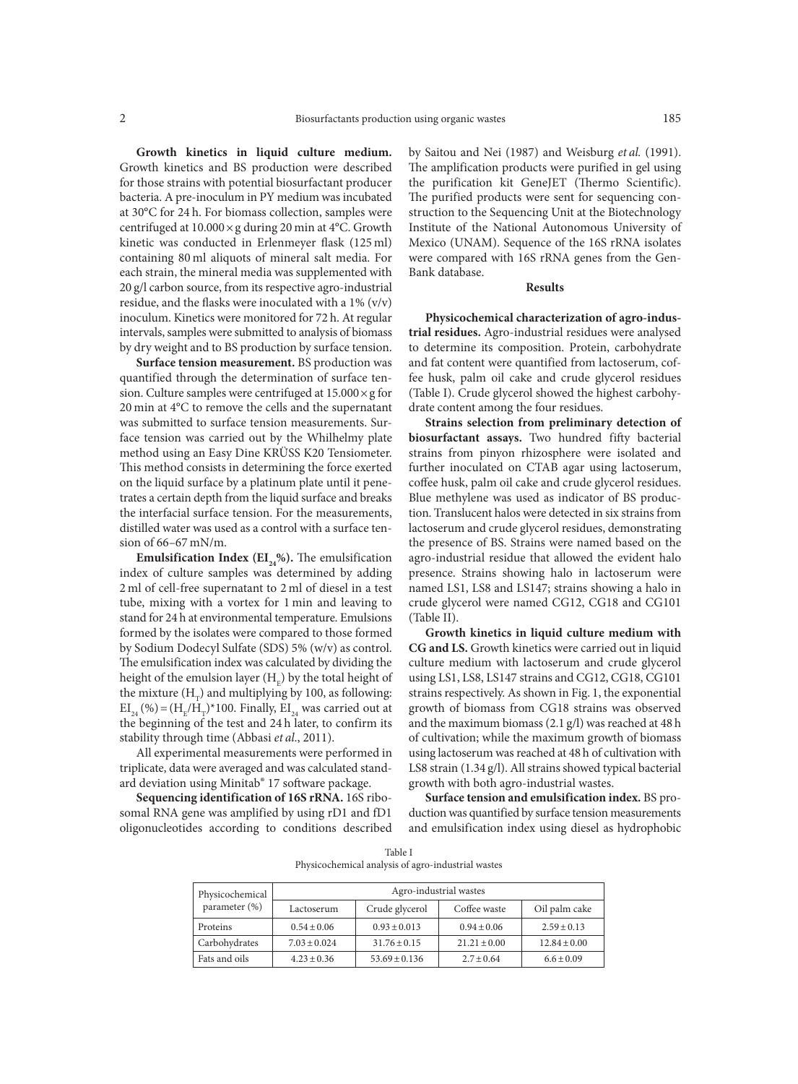**Growth kinetics in liquid culture medium.**  Growth kinetics and BS production were described for those strains with potential biosurfactant producer bacteria. A pre-inoculum in PY medium was incubated at 30°C for 24 h. For biomass collection, samples were centrifuged at 10.000×g during 20 min at 4°C. Growth kinetic was conducted in Erlenmeyer flask (125 ml) containing 80 ml aliquots of mineral salt media. For each strain, the mineral media was supplemented with 20 g/l carbon source, from its respective agro-industrial residue, and the flasks were inoculated with a 1% (v/v) inoculum. Kinetics were monitored for 72 h. At regular intervals, samples were submitted to analysis of biomass by dry weight and to BS production by surface tension.

**Surface tension measurement.** BS production was quantified through the determination of surface tension. Culture samples were centrifuged at  $15.000 \times g$  for 20 min at 4°C to remove the cells and the supernatant was submitted to surface tension measurements. Surface tension was carried out by the Whilhelmy plate method using an Easy Dine KRÜSS K20 Tensiometer. This method consists in determining the force exerted on the liquid surface by a platinum plate until it penetrates a certain depth from the liquid surface and breaks the interfacial surface tension. For the measurements, distilled water was used as a control with a surface tension of 66–67 mN/m.

**Emulsification Index (** $EI_{24}\%$ **).** The emulsification index of culture samples was determined by adding 2 ml of cell-free supernatant to 2 ml of diesel in a test tube, mixing with a vortex for 1 min and leaving to stand for 24 h at environmental temperature. Emulsions formed by the isolates were compared to those formed by Sodium Dodecyl Sulfate (SDS) 5% (w/v) as control. The emulsification index was calculated by dividing the height of the emulsion layer  $\rm(H_{_{E}})$  by the total height of the mixture  $(H<sub>+</sub>)$  and multiplying by 100, as following:  $\mathrm{EI}_{24}$  (%) = (H<sub>E</sub>/H<sub>T</sub>)\*100. Finally,  $\mathrm{EI}_{24}$  was carried out at the beginning of the test and 24 h later, to confirm its stability through time (Abbasi *et al*., 2011).

All experimental measurements were performed in triplicate, data were averaged and was calculated standard deviation using Minitab® 17 software package.

**Sequencing identification of 16S rRNA.** 16S ribosomal RNA gene was amplified by using rD1 and fD1 oligonucleotides according to conditions described by Saitou and Nei (1987) and Weisburg *et al.* (1991). The amplification products were purified in gel using the purification kit GeneJET (Thermo Scientific). The purified products were sent for sequencing construction to the Sequencing Unit at the Biotechnology Institute of the National Autonomous University of Mexico (UNAM). Sequence of the 16S rRNA isolates were compared with 16S rRNA genes from the Gen-Bank database.

# **Results**

**Physicochemical characterization of agro-industrial residues.** Agro-industrial residues were analysed to determine its composition. Protein, carbohydrate and fat content were quantified from lactoserum, coffee husk, palm oil cake and crude glycerol residues (Table I). Crude glycerol showed the highest carbohydrate content among the four residues.

**Strains selection from preliminary detection of biosurfactant assays.** Two hundred fifty bacterial strains from pinyon rhizosphere were isolated and further inoculated on CTAB agar using lactoserum, coffee husk, palm oil cake and crude glycerol residues. Blue methylene was used as indicator of BS production. Translucent halos were detected in six strains from lactoserum and crude glycerol residues, demonstrating the presence of BS. Strains were named based on the agro-industrial residue that allowed the evident halo presence. Strains showing halo in lactoserum were named LS1, LS8 and LS147; strains showing a halo in crude glycerol were named CG12, CG18 and CG101 (Table II).

**Growth kinetics in liquid culture medium with CG and LS.** Growth kinetics were carried out in liquid culture medium with lactoserum and crude glycerol using LS1, LS8, LS147 strains and CG12, CG18, CG101 strains respectively. As shown in Fig. 1, the exponential growth of biomass from CG18 strains was observed and the maximum biomass (2.1 g/l) was reached at 48 h of cultivation; while the maximum growth of biomass using lactoserum was reached at 48 h of cultivation with LS8 strain (1.34 g/l). All strains showed typical bacterial growth with both agro-industrial wastes.

**Surface tension and emulsification index.** BS production was quantified by surface tension measurements and emulsification index using diesel as hydrophobic

Table I Physicochemical analysis of agro-industrial wastes

| Physicochemical<br>parameter (%) | Agro-industrial wastes |                   |                  |                  |  |  |
|----------------------------------|------------------------|-------------------|------------------|------------------|--|--|
|                                  | Lactoserum             | Crude glycerol    | Coffee waste     | Oil palm cake    |  |  |
| Proteins                         | $0.54 \pm 0.06$        | $0.93 \pm 0.013$  | $0.94 \pm 0.06$  | $2.59 \pm 0.13$  |  |  |
| Carbohydrates                    | $7.03 \pm 0.024$       | $31.76 \pm 0.15$  | $21.21 \pm 0.00$ | $12.84 \pm 0.00$ |  |  |
| Fats and oils                    | $4.23 \pm 0.36$        | $53.69 \pm 0.136$ | $2.7 \pm 0.64$   | $6.6 \pm 0.09$   |  |  |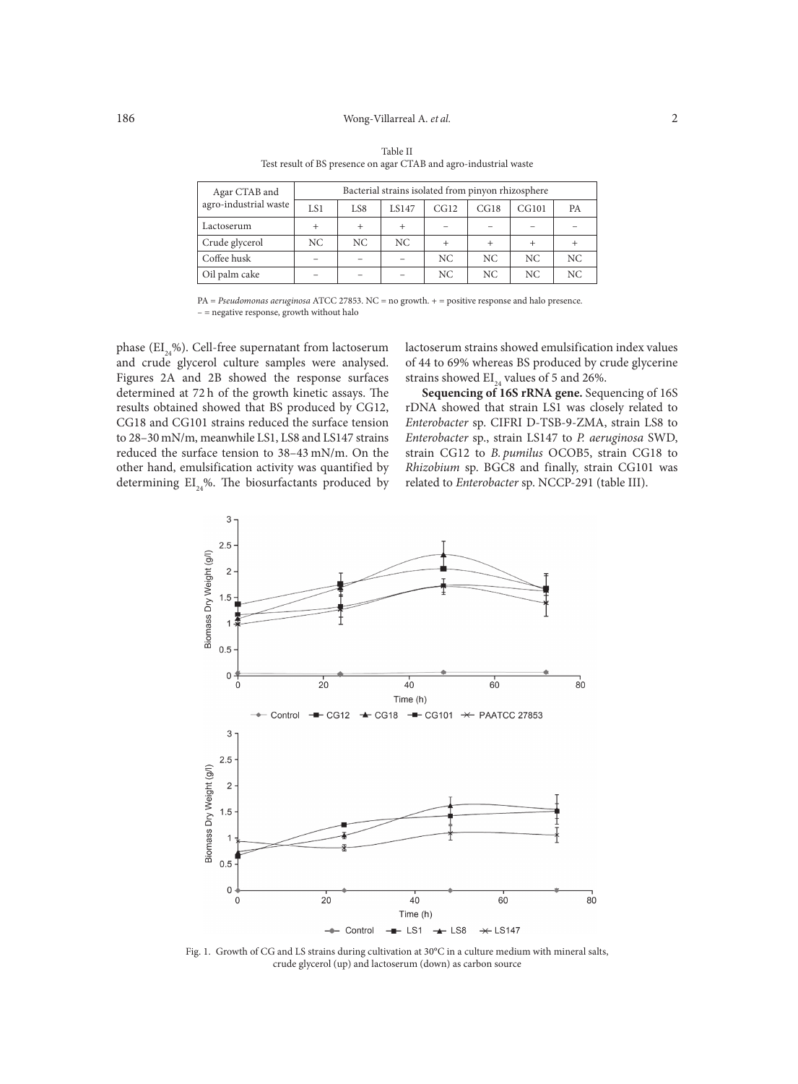## 186 Wong-Villarreal A. *et al.* 2

| Agar CTAB and         | Bacterial strains isolated from pinyon rhizosphere |        |       |      |      |       |           |
|-----------------------|----------------------------------------------------|--------|-------|------|------|-------|-----------|
| agro-industrial waste | LS1                                                | LS8    | LS147 | CG12 | CG18 | CG101 | <b>PA</b> |
| Lactoserum            |                                                    | $^{+}$ |       |      |      |       |           |
| Crude glycerol        | NC                                                 | NC.    | NC.   |      |      |       |           |
| Coffee husk           |                                                    |        |       | NC.  | NC.  | NC.   | NC        |
| Oil palm cake         |                                                    |        |       | NC   | NC.  | NC.   | NC        |

Table II Test result of BS presence on agar CTAB and agro-industrial waste

PA = *Pseudomonas aeruginosa* ATCC 27853. NC = no growth. + = positive response and halo presence. – = negative response, growth without halo

phase ( $EI_{24}\%$ ). Cell-free supernatant from lactoserum and crude glycerol culture samples were analysed. Figures 2A and 2B showed the response surfaces determined at 72 h of the growth kinetic assays. The results obtained showed that BS produced by CG12, CG18 and CG101 strains reduced the surface tension to 28–30 mN/m, meanwhile LS1, LS8 and LS147 strains reduced the surface tension to 38–43 mN/m. On the other hand, emulsification activity was quantified by determining  $EI_{24}\%$ . The biosurfactants produced by

lactoserum strains showed emulsification index values of 44 to 69% whereas BS produced by crude glycerine strains showed  $EI_{24}$  values of 5 and 26%.

**Sequencing of 16S rRNA gene.** Sequencing of 16S rDNA showed that strain LS1 was closely related to *Enterobacter* sp. CIFRI D-TSB-9-ZMA, strain LS8 to *Enterobacter* sp., strain LS147 to *P. aeruginosa* SWD, strain CG12 to *B. pumilus* OCOB5, strain CG18 to *Rhizobium* sp. BGC8 and finally, strain CG101 was related to *Enterobacter* sp. NCCP-291 (table III).



Fig. 1. Growth of CG and LS strains during cultivation at 30°C in a culture medium with mineral salts, crude glycerol (up) and lactoserum (down) as carbon source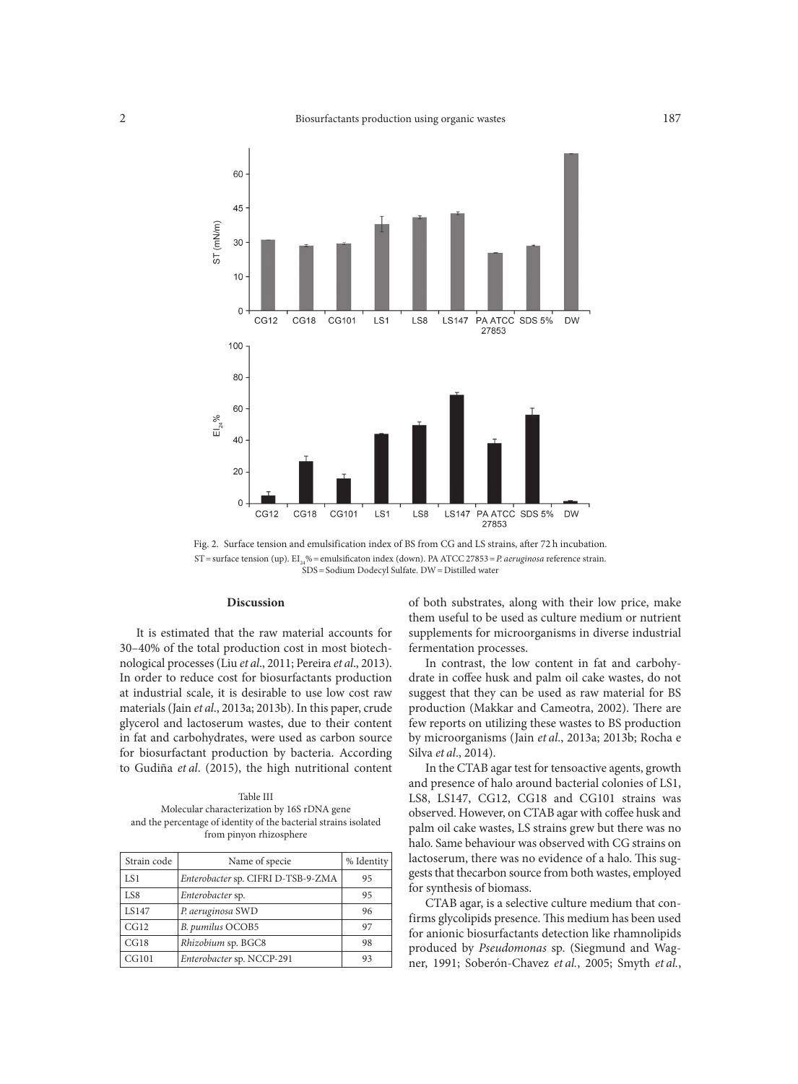

Fig. 2. Surface tension and emulsification index of BS from CG and LS strains, after 72 h incubation. ST=surface tension (up). EI24%=emulsificaton index (down). PAATCC 27853=*P. aeruginosa* reference strain. SDS=Sodium Dodecyl Sulfate. DW=Distilled water

#### **Discussion**

It is estimated that the raw material accounts for 30–40% of the total production cost in most biotechnological processes (Liu *et al*., 2011; Pereira *et al*., 2013). In order to reduce cost for biosurfactants production at industrial scale, it is desirable to use low cost raw materials (Jain *et al*., 2013a; 2013b). In this paper, crude glycerol and lactoserum wastes, due to their content in fat and carbohydrates, were used as carbon source for biosurfactant production by bacteria. According to Gudiña *et al*. (2015), the high nutritional content

Table III Molecular characterization by 16S rDNA gene and the percentage of identity of the bacterial strains isolated from pinyon rhizosphere

| Strain code | Name of specie                     | % Identity |  |
|-------------|------------------------------------|------------|--|
| LS1         | Enterobacter sp. CIFRI D-TSB-9-ZMA | 95         |  |
| LS8         | Enterobacter sp.                   | 95         |  |
| LS147       | P. aeruginosa SWD                  | 96         |  |
| CG12        | B. pumilus OCOB5                   | 97         |  |
| CG18        | Rhizobium sp. BGC8                 | 98         |  |
| CG101       | Enterobacter sp. NCCP-291          | 93         |  |

of both substrates, along with their low price, make them useful to be used as culture medium or nutrient supplements for microorganisms in diverse industrial fermentation processes.

In contrast, the low content in fat and carbohydrate in coffee husk and palm oil cake wastes, do not suggest that they can be used as raw material for BS production (Makkar and Cameotra, 2002). There are few reports on utilizing these wastes to BS production by microorganisms (Jain *et al*., 2013a; 2013b; Rocha e Silva *et al*., 2014).

In the CTAB agar test for tensoactive agents, growth and presence of halo around bacterial colonies of LS1, LS8, LS147, CG12, CG18 and CG101 strains was observed. However, on CTAB agar with coffee husk and palm oil cake wastes, LS strains grew but there was no halo. Same behaviour was observed with CG strains on lactoserum, there was no evidence of a halo. This suggests that thecarbon source from both wastes, employed for synthesis of biomass.

CTAB agar, is a selective culture medium that confirms glycolipids presence. This medium has been used for anionic biosurfactants detection like rhamnolipids produced by *Pseudomonas* sp. (Siegmund and Wagner, 1991; Soberón-Chavez *et al.*, 2005; Smyth *et al.*,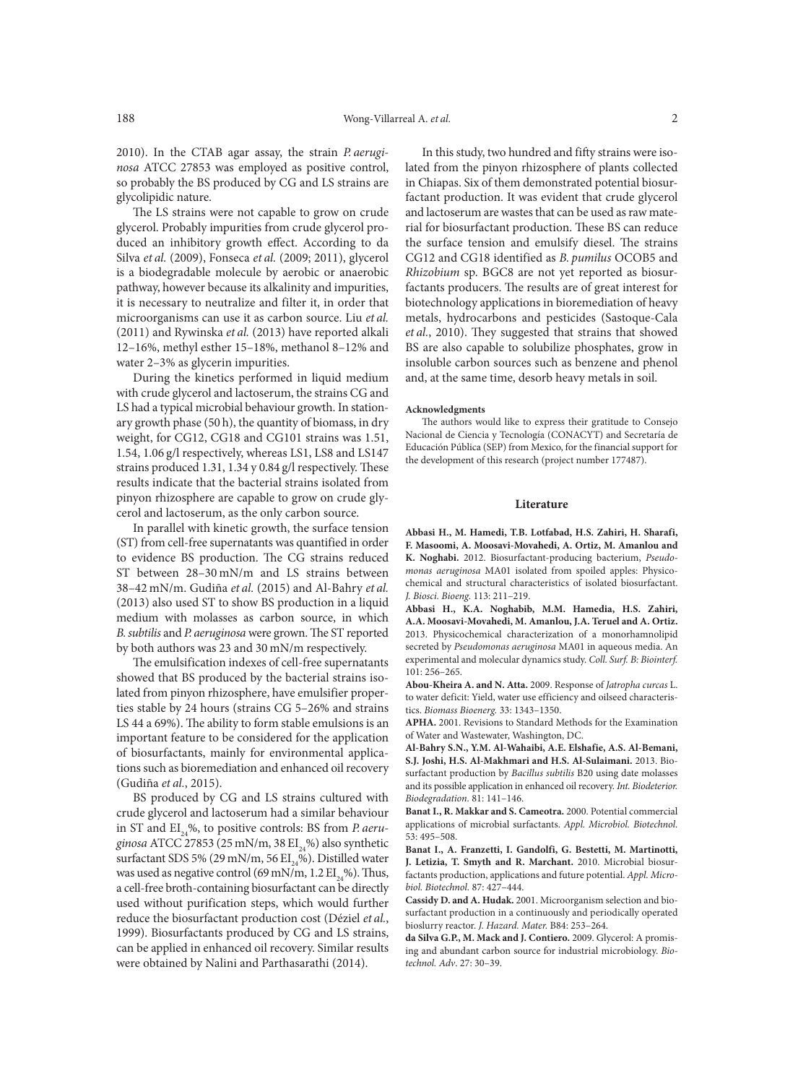2010). In the CTAB agar assay, the strain *P. aeruginosa* ATCC 27853 was employed as positive control, so probably the BS produced by CG and LS strains are glycolipidic nature.

The LS strains were not capable to grow on crude glycerol. Probably impurities from crude glycerol produced an inhibitory growth effect. According to da Silva *et al.* (2009), Fonseca *et al.* (2009; 2011), glycerol is a biodegradable molecule by aerobic or anaerobic pathway, however because its alkalinity and impurities, it is necessary to neutralize and filter it, in order that microorganisms can use it as carbon source. Liu *et al.* (2011) and Rywinska *et al.* (2013) have reported alkali 12–16%, methyl esther 15–18%, methanol 8–12% and water 2–3% as glycerin impurities.

During the kinetics performed in liquid medium with crude glycerol and lactoserum, the strains CG and LS had a typical microbial behaviour growth. In stationary growth phase (50 h), the quantity of biomass, in dry weight, for CG12, CG18 and CG101 strains was 1.51, 1.54, 1.06 g/l respectively, whereas LS1, LS8 and LS147 strains produced 1.31, 1.34 y 0.84 g/l respectively. These results indicate that the bacterial strains isolated from pinyon rhizosphere are capable to grow on crude glycerol and lactoserum, as the only carbon source.

In parallel with kinetic growth, the surface tension (ST) from cell-free supernatants was quantified in order to evidence BS production. The CG strains reduced ST between 28–30 mN/m and LS strains between 38–42 mN/m. Gudiña *et al.* (2015) and Al-Bahry *et al.* (2013) also used ST to show BS production in a liquid medium with molasses as carbon source, in which *B.subtilis* and *P. aeruginosa* were grown. The ST reported by both authors was 23 and 30 mN/m respectively.

The emulsification indexes of cell-free supernatants showed that BS produced by the bacterial strains isolated from pinyon rhizosphere, have emulsifier properties stable by 24 hours (strains CG 5–26% and strains LS 44 a 69%). The ability to form stable emulsions is an important feature to be considered for the application of biosurfactants, mainly for environmental applications such as bioremediation and enhanced oil recovery (Gudiña *et al.*, 2015).

BS produced by CG and LS strains cultured with crude glycerol and lactoserum had a similar behaviour in ST and EI<sub>24</sub>%, to positive controls: BS from *P. aeru*ginosa ATCC 27853 (25 mN/m, 38 EI<sub>24</sub>%) also synthetic surfactant SDS 5% (29 mN/m, 56  $EI_{24}$ %). Distilled water was used as negative control (69 mN/m,  $1.2 \text{ EI}_{24}$ %). Thus, a cell-free broth-containing biosurfactant can be directly used without purification steps, which would further reduce the biosurfactant production cost (Déziel *et al.*, 1999). Biosurfactants produced by CG and LS strains, can be applied in enhanced oil recovery. Similar results were obtained by Nalini and Parthasarathi (2014).

In this study, two hundred and fifty strains were isolated from the pinyon rhizosphere of plants collected in Chiapas. Six of them demonstrated potential biosurfactant production. It was evident that crude glycerol and lactoserum are wastes that can be used as raw material for biosurfactant production. These BS can reduce the surface tension and emulsify diesel. The strains CG12 and CG18 identified as *B. pumilus* OCOB5 and *Rhizobium* sp. BGC8 are not yet reported as biosurfactants producers. The results are of great interest for biotechnology applications in bioremediation of heavy metals, hydrocarbons and pesticides (Sastoque-Cala *et al.*, 2010). They suggested that strains that showed BS are also capable to solubilize phosphates, grow in insoluble carbon sources such as benzene and phenol and, at the same time, desorb heavy metals in soil.

#### **Acknowledgments**

The authors would like to express their gratitude to Consejo Nacional de Ciencia y Tecnología (CONACYT) and Secretaría de Educación Pública (SEP) from Mexico, for the financial support for the development of this research (project number 177487).

## **Literature**

**Abbasi H., M. Hamedi, T.B. Lotfabad, H.S. Zahiri, H. Sharafi, F. Masoomi, A. Moosavi-Movahedi, A. Ortiz, M. Amanlou and K. Noghabi.** 2012. Biosurfactant-producing bacterium, *Pseudomonas aeruginosa* MA01 isolated from spoiled apples: Physicochemical and structural characteristics of isolated biosurfactant. *J. Biosci. Bioeng.* 113: 211–219.

**Abbasi H., K.A. Noghabib, M.M. Hamedia, H.S. Zahiri, A.A. Moosavi-Movahedi, M. Amanlou, J.A. Teruel and A. Ortiz.** 2013. Physicochemical characterization of a monorhamnolipid secreted by *Pseudomonas aeruginosa* MA01 in aqueous media. An experimental and molecular dynamics study. *Coll. Surf. B: Biointerf.* 101: 256–265.

**Abou-Kheira A. and N. Atta.** 2009. Response of *Jatropha curcas* L. to water deficit: Yield, water use efficiency and oilseed characteristics. *Biomass Bioenerg.* 33: 1343–1350.

**APHA.** 2001. Revisions to Standard Methods for the Examination of Water and Wastewater, Washington, DC.

**Al-Bahry S.N., Y.M. Al-Wahaibi, A.E. Elshafie, A.S. Al-Bemani, S.J. Joshi, H.S. Al-Makhmari and H.S. Al-Sulaimani.** 2013. Biosurfactant production by *Bacillus subtilis* B20 using date molasses and its possible application in enhanced oil recovery. *Int. Biodeterior. Biodegradation.* 81: 141–146.

**Banat I., R. Makkar and S. Cameotra.** 2000. Potential commercial applications of microbial surfactants. *Appl. Microbiol. Biotechnol.* 53: 495–508.

**Banat I., A. Franzetti, I. Gandolfi, G. Bestetti, M. Martinotti, J. Letizia, T. Smyth and R. Marchant.** 2010. Microbial biosurfactants production, applications and future potential. *Appl. Microbiol. Biotechnol.* 87: 427–444.

**Cassidy D. and A. Hudak.** 2001. Microorganism selection and biosurfactant production in a continuously and periodically operated bioslurry reactor. *J. Hazard. Mater.* B84: 253–264.

**da Silva G.P., M. Mack and J. Contiero.** 2009. Glycerol: A promising and abundant carbon source for industrial microbiology. *Biotechnol. Adv*. 27: 30–39.